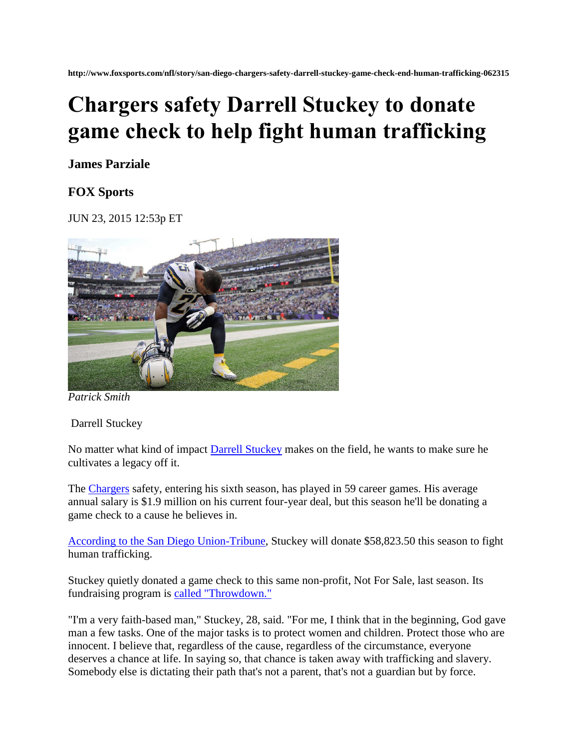**http://www.foxsports.com/nfl/story/san-diego-chargers-safety-darrell-stuckey-game-check-end-human-trafficking-062315**

## **Chargers safety Darrell Stuckey to donate game check to help fight human trafficking**

## **James Parziale**

## **FOX Sports**

JUN 23, 2015 12:53p ET



*Patrick Smith*

Darrell Stuckey

No matter what kind of impact **Darrell Stuckey** makes on the field, he wants to make sure he cultivates a legacy off it.

The [Chargers](http://www.foxsports.com/nfl/san-diego-chargers-team) safety, entering his sixth season, has played in 59 career games. His average annual salary is \$1.9 million on his current four-year deal, but this season he'll be donating a game check to a cause he believes in.

[According to the San Diego Union-Tribune,](http://www.utsandiego.com/news/2015/jun/22/chargers-darrell-stuckey-donates-check/) Stuckey will donate \$58,823.50 this season to fight human trafficking.

Stuckey quietly donated a game check to this same non-profit, Not For Sale, last season. Its fundraising program is [called "Throwdown."](https://notforsalecampaign.org/throwdown/)

"I'm a very faith-based man," Stuckey, 28, said. "For me, I think that in the beginning, God gave man a few tasks. One of the major tasks is to protect women and children. Protect those who are innocent. I believe that, regardless of the cause, regardless of the circumstance, everyone deserves a chance at life. In saying so, that chance is taken away with trafficking and slavery. Somebody else is dictating their path that's not a parent, that's not a guardian but by force.